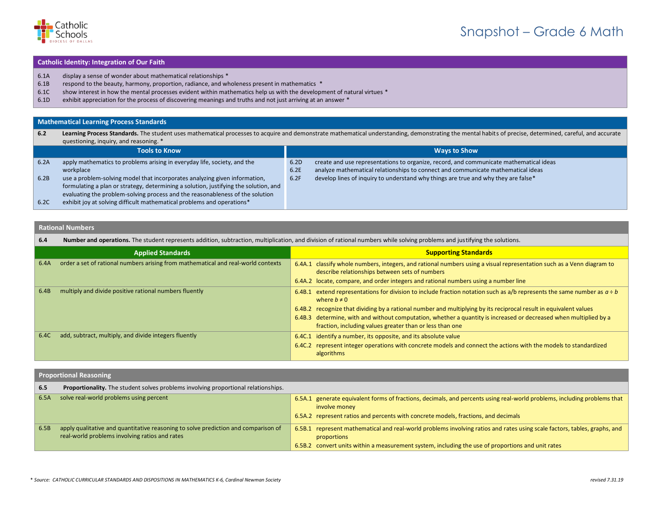

## Snapshot – Grade 6 Math

#### **Catholic Identity: Integration of Our Faith**

- 6.1A display a sense of wonder about mathematical relationships \*
- 6.1B respond to the beauty, harmony, proportion, radiance, and wholeness present in mathematics \*
- 6.1C show interest in how the mental processes evident within mathematics help us with the development of natural virtues \*
- 6.1D exhibit appreciation for the process of discovering meanings and truths and not just arriving at an answer \*

#### **Mathematical Learning Process Standards**

| 6.2  | Learning Process Standards. The student uses mathematical processes to acquire and demonstrate mathematical understanding, demonstrating the mental habits of precise, determined, careful, and accurate<br>questioning, inquiry, and reasoning. *  |              |                                                                                                                                                                            |
|------|-----------------------------------------------------------------------------------------------------------------------------------------------------------------------------------------------------------------------------------------------------|--------------|----------------------------------------------------------------------------------------------------------------------------------------------------------------------------|
|      | <b>Tools to Know</b>                                                                                                                                                                                                                                |              | <b>Ways to Show</b>                                                                                                                                                        |
| 6.2A | apply mathematics to problems arising in everyday life, society, and the<br>workplace                                                                                                                                                               | 6.2D<br>6.2E | create and use representations to organize, record, and communicate mathematical ideas<br>analyze mathematical relationships to connect and communicate mathematical ideas |
| 6.2B | use a problem-solving model that incorporates analyzing given information,<br>formulating a plan or strategy, determining a solution, justifying the solution, and<br>evaluating the problem-solving process and the reasonableness of the solution | 6.2F         | develop lines of inquiry to understand why things are true and why they are false*                                                                                         |
| 6.2C | exhibit joy at solving difficult mathematical problems and operations*                                                                                                                                                                              |              |                                                                                                                                                                            |

#### **Rational Numbers**

**6.4 Number and operations.** The student represents addition, subtraction, multiplication, and division of rational numbers while solving problems and justifying the solutions.

|      | <b>Applied Standards</b>                                                          | <b>Supporting Standards</b>                                                                                                                                                                                                                                                                                                                                                                                                                            |
|------|-----------------------------------------------------------------------------------|--------------------------------------------------------------------------------------------------------------------------------------------------------------------------------------------------------------------------------------------------------------------------------------------------------------------------------------------------------------------------------------------------------------------------------------------------------|
| 6.4A | order a set of rational numbers arising from mathematical and real-world contexts | 6.4A.1 classify whole numbers, integers, and rational numbers using a visual representation such as a Venn diagram to<br>describe relationships between sets of numbers<br>6.4A.2 locate, compare, and order integers and rational numbers using a number line                                                                                                                                                                                         |
| 6.4B | multiply and divide positive rational numbers fluently                            | 6.4B.1 extend representations for division to include fraction notation such as a/b represents the same number as $a \div b$<br>where $b \neq 0$<br>6.4B.2 recognize that dividing by a rational number and multiplying by its reciprocal result in equivalent values<br>6.4B.3 determine, with and without computation, whether a quantity is increased or decreased when multiplied by a<br>fraction, including values greater than or less than one |
| 6.4C | add, subtract, multiply, and divide integers fluently                             | 6.4C.1 identify a number, its opposite, and its absolute value<br>6.4C.2 represent integer operations with concrete models and connect the actions with the models to standardized<br>algorithms                                                                                                                                                                                                                                                       |

#### **Proportional Reasoning**

| 6.5  | <b>Proportionality.</b> The student solves problems involving proportional relationships.                                            |                                                                                                                                                                                                                                               |
|------|--------------------------------------------------------------------------------------------------------------------------------------|-----------------------------------------------------------------------------------------------------------------------------------------------------------------------------------------------------------------------------------------------|
| 6.5A | solve real-world problems using percent                                                                                              | 6.5A.1 generate equivalent forms of fractions, decimals, and percents using real-world problems, including problems that<br>involve money<br>6.5A.2 represent ratios and percents with concrete models, fractions, and decimals               |
| 6.5B | apply qualitative and quantitative reasoning to solve prediction and comparison of<br>real-world problems involving ratios and rates | 6.5B.1 represent mathematical and real-world problems involving ratios and rates using scale factors, tables, graphs, and<br>proportions<br>6.5B.2 convert units within a measurement system, including the use of proportions and unit rates |